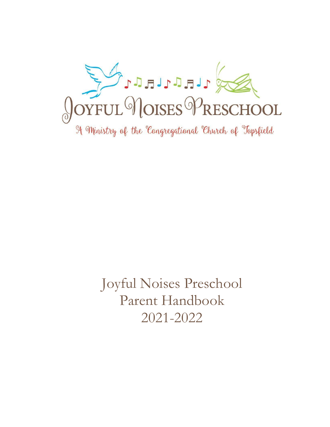

Joyful Noises Preschool Parent Handbook 2021-2022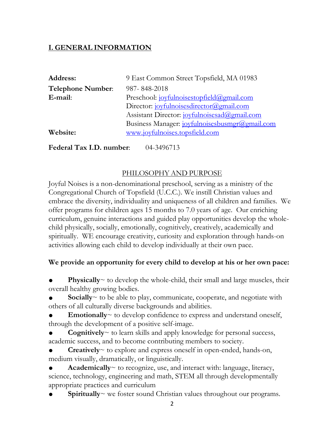# **I. GENERAL INFORMATION**

| <b>Address:</b>          | 9 East Common Street Topsfield, MA 01983       |
|--------------------------|------------------------------------------------|
| <b>Telephone Number:</b> | 987-848-2018                                   |
| E-mail:                  | Preschool: joyfulnoisestopfield@gmail.com      |
|                          | Director: joyfulnoisesdirector@gmail.com       |
|                          | Assistant Director: joyfulnoisesad@gmail.com   |
|                          | Business Manager: joyfulnoisesbusmgr@gmail.com |
| Website:                 | www.joyfulnoises.topsfield.com                 |

**Federal Tax I.D. number:** 04-3496713

## PHILOSOPHY AND PURPOSE

Joyful Noises is a non-denominational preschool, serving as a ministry of the Congregational Church of Topsfield (U.C.C.). We instill Christian values and embrace the diversity, individuality and uniqueness of all children and families. We offer programs for children ages 15 months to 7.0 years of age. Our enriching curriculum, genuine interactions and guided play opportunities develop the wholechild physically, socially, emotionally, cognitively, creatively, academically and spiritually. WE encourage creativity, curiosity and exploration through hands-on activities allowing each child to develop individually at their own pace.

## **We provide an opportunity for every child to develop at his or her own pace:**

**Physically** $\sim$  to develop the whole-child, their small and large muscles, their overall healthy growing bodies.

**Socially** $\sim$  to be able to play, communicate, cooperate, and negotiate with others of all culturally diverse backgrounds and abilities.

**Emotionally** $\sim$  to develop confidence to express and understand oneself, through the development of a positive self-image.

**Cognitively** $\sim$  to learn skills and apply knowledge for personal success, academic success, and to become contributing members to society.

**Creatively** $\sim$  to explore and express oneself in open-ended, hands-on, medium visually, dramatically, or linguistically.

**Academically** $\sim$  to recognize, use, and interact with: language, literacy, science, technology, engineering and math, STEM all through developmentally appropriate practices and curriculum

**Spiritually**  $\sim$  we foster sound Christian values throughout our programs.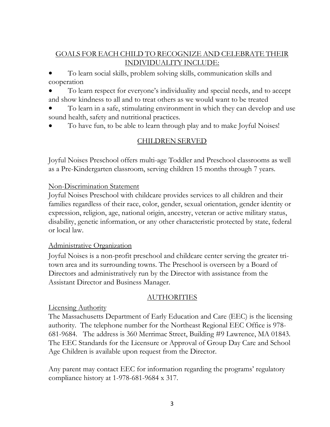## GOALS FOR EACH CHILD TO RECOGNIZE AND CELEBRATE THEIR INDIVIDUALITY INCLUDE:

● To learn social skills, problem solving skills, communication skills and cooperation

To learn respect for everyone's individuality and special needs, and to accept and show kindness to all and to treat others as we would want to be treated

To learn in a safe, stimulating environment in which they can develop and use sound health, safety and nutritional practices.

To have fun, to be able to learn through play and to make Joyful Noises!

## CHILDREN SERVED

Joyful Noises Preschool offers multi-age Toddler and Preschool classrooms as well as a Pre-Kindergarten classroom, serving children 15 months through 7 years.

#### Non-Discrimination Statement

Joyful Noises Preschool with childcare provides services to all children and their families regardless of their race, color, gender, sexual orientation, gender identity or expression, religion, age, national origin, ancestry, veteran or active military status, disability, genetic information, or any other characteristic protected by state, federal or local law.

## Administrative Organization

Joyful Noises is a non-profit preschool and childcare center serving the greater tritown area and its surrounding towns. The Preschool is overseen by a Board of Directors and administratively run by the Director with assistance from the Assistant Director and Business Manager.

## AUTHORITIES

## Licensing Authority

The Massachusetts Department of Early Education and Care (EEC) is the licensing authority. The telephone number for the Northeast Regional EEC Office is 978- 681-9684. The address is 360 Merrimac Street, Building #9 Lawrence, MA 01843. The EEC Standards for the Licensure or Approval of Group Day Care and School Age Children is available upon request from the Director.

Any parent may contact EEC for information regarding the programs' regulatory compliance history at 1-978-681-9684 x 317.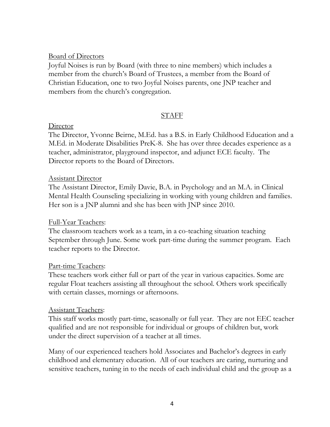#### Board of Directors

Joyful Noises is run by Board (with three to nine members) which includes a member from the church's Board of Trustees, a member from the Board of Christian Education, one to two Joyful Noises parents, one JNP teacher and members from the church's congregation.

#### **STAFF**

#### **Director**

The Director, Yvonne Beirne, M.Ed. has a B.S. in Early Childhood Education and a M.Ed. in Moderate Disabilities PreK-8. She has over three decades experience as a teacher, administrator, playground inspector, and adjunct ECE faculty. The Director reports to the Board of Directors.

#### Assistant Director

The Assistant Director, Emily Davie, B.A. in Psychology and an M.A. in Clinical Mental Health Counseling specializing in working with young children and families. Her son is a JNP alumni and she has been with JNP since 2010.

## Full-Year Teachers:

The classroom teachers work as a team, in a co-teaching situation teaching September through June. Some work part-time during the summer program. Each teacher reports to the Director.

## Part-time Teachers:

These teachers work either full or part of the year in various capacities. Some are regular Float teachers assisting all throughout the school. Others work specifically with certain classes, mornings or afternoons.

## Assistant Teachers:

This staff works mostly part-time, seasonally or full year. They are not EEC teacher qualified and are not responsible for individual or groups of children but, work under the direct supervision of a teacher at all times.

Many of our experienced teachers hold Associates and Bachelor's degrees in early childhood and elementary education. All of our teachers are caring, nurturing and sensitive teachers, tuning in to the needs of each individual child and the group as a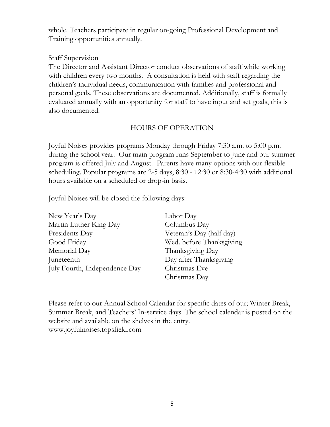whole. Teachers participate in regular on-going Professional Development and Training opportunities annually.

#### **Staff Supervision**

The Director and Assistant Director conduct observations of staff while working with children every two months. A consultation is held with staff regarding the children's individual needs, communication with families and professional and personal goals. These observations are documented. Additionally, staff is formally evaluated annually with an opportunity for staff to have input and set goals, this is also documented.

## HOURS OF OPERATION

Joyful Noises provides programs Monday through Friday 7:30 a.m. to 5:00 p.m. during the school year. Our main program runs September to June and our summer program is offered July and August. Parents have many options with our flexible scheduling. Popular programs are 2-5 days, 8:30 - 12:30 or 8:30-4:30 with additional hours available on a scheduled or drop-in basis.

Joyful Noises will be closed the following days:

| New Year's Day                | Labor Day                |
|-------------------------------|--------------------------|
| Martin Luther King Day        | Columbus Day             |
| Presidents Day                | Veteran's Day (half day) |
| Good Friday                   | Wed. before Thanksgiving |
| Memorial Day                  | Thanksgiving Day         |
| Juneteenth                    | Day after Thanksgiving   |
| July Fourth, Independence Day | Christmas Eve            |
|                               | Christmas Day            |

Please refer to our Annual School Calendar for specific dates of our; Winter Break, Summer Break, and Teachers' In-service days. The school calendar is posted on the website and available on the shelves in the entry. www.joyfulnoises.topsfield.com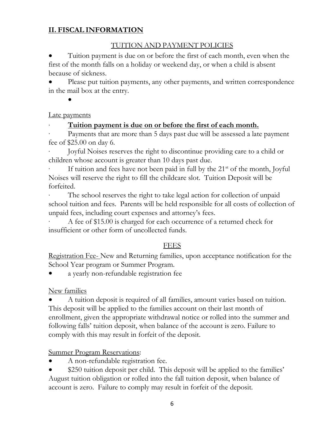# **II. FISCAL INFORMATION**

## TUITION AND PAYMENT POLICIES

Tuition payment is due on or before the first of each month, even when the first of the month falls on a holiday or weekend day, or when a child is absent because of sickness.

Please put tuition payments, any other payments, and written correspondence in the mail box at the entry.

●

## Late payments

## Tuition payment is due on or before the first of each month.

Payments that are more than 5 days past due will be assessed a late payment fee of \$25.00 on day 6.

· Joyful Noises reserves the right to discontinue providing care to a child or children whose account is greater than 10 days past due.

If tuition and fees have not been paid in full by the  $21<sup>st</sup>$  of the month, Joyful Noises will reserve the right to fill the childcare slot. Tuition Deposit will be forfeited.

The school reserves the right to take legal action for collection of unpaid school tuition and fees. Parents will be held responsible for all costs of collection of unpaid fees, including court expenses and attorney's fees.

A fee of \$15.00 is charged for each occurrence of a returned check for insufficient or other form of uncollected funds.

## FEES

Registration Fee- New and Returning families, upon acceptance notification for the School Year program or Summer Program.

a yearly non-refundable registration fee

New families

A tuition deposit is required of all families, amount varies based on tuition. This deposit will be applied to the families account on their last month of enrollment, given the appropriate withdrawal notice or rolled into the summer and following falls' tuition deposit, when balance of the account is zero. Failure to comply with this may result in forfeit of the deposit.

**Summer Program Reservations:** 

A non-refundable registration fee.

\$250 tuition deposit per child. This deposit will be applied to the families' August tuition obligation or rolled into the fall tuition deposit, when balance of account is zero. Failure to comply may result in forfeit of the deposit.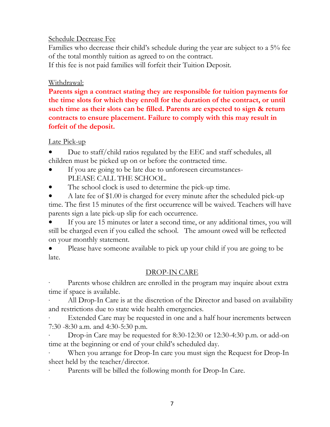#### Schedule Decrease Fee

Families who decrease their child's schedule during the year are subject to a 5% fee of the total monthly tuition as agreed to on the contract.

If this fee is not paid families will forfeit their Tuition Deposit.

## Withdrawal:

**Parents sign a contract stating they are responsible for tuition payments for the time slots for which they enroll for the duration of the contract, or until such time as their slots can be filled. Parents are expected to sign & return contracts to ensure placement. Failure to comply with this may result in forfeit of the deposit.**

## Late Pick-up

Due to staff/child ratios regulated by the EEC and staff schedules, all children must be picked up on or before the contracted time.

- If you are going to be late due to unforeseen circumstances-PLEASE CALL THE SCHOOL.
- The school clock is used to determine the pick-up time.

A late fee of \$1.00 is charged for every minute after the scheduled pick-up time. The first 15 minutes of the first occurrence will be waived. Teachers will have parents sign a late pick-up slip for each occurrence.

If you are 15 minutes or later a second time, or any additional times, you will still be charged even if you called the school. The amount owed will be reflected on your monthly statement.

• Please have someone available to pick up your child if you are going to be late.

# DROP-IN CARE

Parents whose children are enrolled in the program may inquire about extra time if space is available.

All Drop-In Care is at the discretion of the Director and based on availability and restrictions due to state wide health emergencies.

Extended Care may be requested in one and a half hour increments between 7:30 -8:30 a.m. and 4:30-5:30 p.m.

· Drop-in Care may be requested for 8:30-12:30 or 12:30-4:30 p.m. or add-on time at the beginning or end of your child's scheduled day.

When you arrange for Drop-In care you must sign the Request for Drop-In sheet held by the teacher/director.

Parents will be billed the following month for Drop-In Care.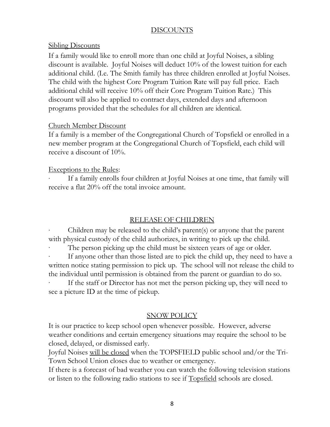#### DISCOUNTS

#### **Sibling Discounts**

If a family would like to enroll more than one child at Joyful Noises, a sibling discount is available. Joyful Noises will deduct 10% of the lowest tuition for each additional child. (I.e. The Smith family has three children enrolled at Joyful Noises. The child with the highest Core Program Tuition Rate will pay full price. Each additional child will receive 10% off their Core Program Tuition Rate.) This discount will also be applied to contract days, extended days and afternoon programs provided that the schedules for all children are identical.

#### Church Member Discount

If a family is a member of the Congregational Church of Topsfield or enrolled in a new member program at the Congregational Church of Topsfield, each child will receive a discount of 10%.

#### Exceptions to the Rules:

If a family enrolls four children at Joyful Noises at one time, that family will receive a flat 20% off the total invoice amount.

## RELEASE OF CHILDREN

Children may be released to the child's parent(s) or anyone that the parent with physical custody of the child authorizes, in writing to pick up the child.

The person picking up the child must be sixteen years of age or older.

If anyone other than those listed are to pick the child up, they need to have a written notice stating permission to pick up. The school will not release the child to the individual until permission is obtained from the parent or guardian to do so.

If the staff or Director has not met the person picking up, they will need to see a picture ID at the time of pickup.

## SNOW POLICY

It is our practice to keep school open whenever possible. However, adverse weather conditions and certain emergency situations may require the school to be closed, delayed, or dismissed early.

Joyful Noises will be closed when the TOPSFIELD public school and/or the Tri-Town School Union closes due to weather or emergency.

If there is a forecast of bad weather you can watch the following television stations or listen to the following radio stations to see if <u>Topsfield</u> schools are closed.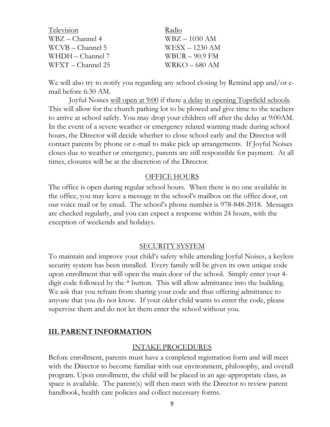| Television         | Radio            |
|--------------------|------------------|
| $WBZ - Channel 4$  | $WBZ - 1030$ AM  |
| $WCVB - Channel 5$ | $WESX - 1230$ AM |
| $WHDH - Channel 7$ | WBUR $-$ 90.9 FM |
| WFXT – Channel 25  | $WRKO - 680 AM$  |

We will also try to notify you regarding any school closing by Remind app and/or email before 6:30 AM.

 Joyful Noises will open at 9:00 if there a delay in opening Topsfield schools. This will allow for the church parking lot to be plowed and give time to the teachers to arrive at school safely. You may drop your children off after the delay at 9:00AM. In the event of a severe weather or emergency related warning made during school hours, the Director will decide whether to close school early and the Director will contact parents by phone or e-mail to make pick up arrangements. If Joyful Noises closes due to weather or emergency, parents are still responsible for payment. At all times, closures will be at the discretion of the Director.

#### OFFICE HOURS

The office is open during regular school hours. When there is no one available in the office, you may leave a message in the school's mailbox on the office door, on our voice mail or by email. The school's phone number is 978-848-2018. Messages are checked regularly, and you can expect a response within 24 hours, with the exception of weekends and holidays.

#### SECURITY SYSTEM

To maintain and improve your child's safety while attending Joyful Noises, a keyless security system has been installed. Every family will be given its own unique code upon enrollment that will open the main door of the school. Simply enter your 4 digit code followed by the \* button. This will allow admittance into the building. We ask that you refrain from sharing your code and thus offering admittance to anyone that you do not know. If your older child wants to enter the code, please supervise them and do not let them enter the school without you.

## **III. PARENT INFORMATION**

#### INTAKE PROCEDURES

Before enrollment, parents must have a completed registration form and will meet with the Director to become familiar with our environment, philosophy, and overall program. Upon enrollment, the child will be placed in an age-appropriate class, as space is available. The parent(s) will then meet with the Director to review parent handbook, health care policies and collect necessary forms.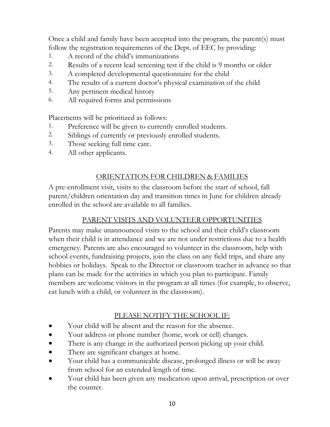Once a child and family have been accepted into the program, the parent(s) must follow the registration requirements of the Dept. of EEC by providing:

- 1. A record of the child's immunizations
- 2. Results of a recent lead screening test if the child is 9 months or older
- 3. A completed developmental questionnaire for the child
- 4. The results of a current doctor's physical examination of the child
- 5. Any pertinent medical history
- 6. All required forms and permissions

Placements will be prioritized as follows:

- 1. Preference will be given to currently enrolled students.
- 2. Siblings of currently or previously enrolled students.
- 3. Those seeking full time care.
- 4. All other applicants.

## ORIENTATION FOR CHILDREN & FAMILIES

A pre-enrollment visit, visits to the classroom before the start of school, fall parent/children orientation day and transition times in June for children already enrolled in the school are available to all families.

## PARENT VISITS AND VOLUNTEER OPPORTUNITIES

Parents may make unannounced visits to the school and their child's classroom when their child is in attendance and we are not under restrictions due to a health emergency. Parents are also encouraged to volunteer in the classroom, help with school events, fundraising projects, join the class on any field trips, and share any hobbies or holidays. Speak to the Director or classroom teacher in advance so that plans can be made for the activities in which you plan to participate. Family members are welcome visitors in the program at all times (for example, to observe, eat lunch with a child, or volunteer in the classroom).

## PLEASE NOTIFY THE SCHOOL IF:

- Your child will be absent and the reason for the absence.
- Your address or phone number (home, work or cell) changes.
- There is any change in the authorized person picking up your child.
- There are significant changes at home.
- Your child has a communicable disease, prolonged illness or will be away from school for an extended length of time.
- Your child has been given any medication upon arrival, prescription or over the counter.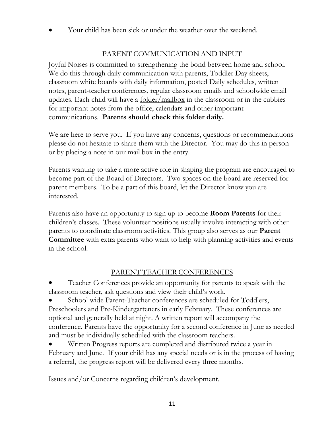Your child has been sick or under the weather over the weekend.

## PARENT COMMUNICATION AND INPUT

Joyful Noises is committed to strengthening the bond between home and school. We do this through daily communication with parents, Toddler Day sheets, classroom white boards with daily information, posted Daily schedules, written notes, parent-teacher conferences, regular classroom emails and schoolwide email updates. Each child will have a  $folder/mailbox$  in the classroom or in the cubbies for important notes from the office, calendars and other important communications. **Parents should check this folder daily.**

We are here to serve you. If you have any concerns, questions or recommendations please do not hesitate to share them with the Director. You may do this in person or by placing a note in our mail box in the entry.

Parents wanting to take a more active role in shaping the program are encouraged to become part of the Board of Directors. Two spaces on the board are reserved for parent members. To be a part of this board, let the Director know you are interested.

Parents also have an opportunity to sign up to become **Room Parents** for their children's classes. These volunteer positions usually involve interacting with other parents to coordinate classroom activities. This group also serves as our **Parent Committee** with extra parents who want to help with planning activities and events in the school.

## PARENT TEACHER CONFERENCES

Teacher Conferences provide an opportunity for parents to speak with the classroom teacher, ask questions and view their child's work.

School wide Parent-Teacher conferences are scheduled for Toddlers, Preschoolers and Pre-Kindergarteners in early February. These conferences are optional and generally held at night. A written report will accompany the conference. Parents have the opportunity for a second conference in June as needed and must be individually scheduled with the classroom teachers.

Written Progress reports are completed and distributed twice a year in February and June. If your child has any special needs or is in the process of having a referral, the progress report will be delivered every three months.

Issues and/or Concerns regarding children's development.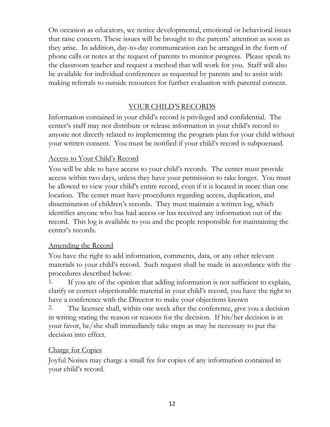On occasion as educators, we notice developmental, emotional or behavioral issues that raise concern. These issues will be brought to the parents' attention as soon as they arise. In addition, day-to-day communication can be arranged in the form of phone calls or notes at the request of parents to monitor progress. Please speak to the classroom teacher and request a method that will work for you. Staff will also be available for individual conferences as requested by parents and to assist with making referrals to outside resources for further evaluation with parental consent.

## YOUR CHILD'S RECORDS

Information contained in your child's record is privileged and confidential. The center's staff may not distribute or release information in your child's record to anyone not directly related to implementing the program plan for your child without your written consent. You must be notified if your child's record is subpoenaed.

## Access to Your Child's Record

You will be able to have access to your child's records. The center must provide access within two days, unless they have your permission to take longer. You must be allowed to view your child's entire record, even if it is located in more than one location. The center must have procedures regarding access, duplication, and dissemination of children's records. They must maintain a written log, which identifies anyone who has had access or has received any information out of the record. This log is available to you and the people responsible for maintaining the center's records.

## Amending the Record

You have the right to add information, comments, data, or any other relevant materials to your child's record. Such request shall be made in accordance with the procedures described below:

1. If you are of the opinion that adding information is not sufficient to explain, clarify or correct objectionable material in your child's record, you have the right to have a conference with the Director to make your objections known

2. The licensee shall, within one week after the conference, give you a decision in writing stating the reason or reasons for the decision. If his/her decision is in your favor, he/she shall immediately take steps as may be necessary to put the decision into effect.

## Charge for Copies

Joyful Noises may charge a small fee for copies of any information contained in your child's record.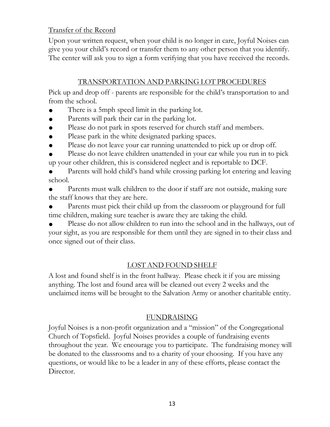## Transfer of the Record

Upon your written request, when your child is no longer in care, Joyful Noises can give you your child's record or transfer them to any other person that you identify. The center will ask you to sign a form verifying that you have received the records.

## TRANSPORTATION AND PARKING LOT PROCEDURES

Pick up and drop off - parents are responsible for the child's transportation to and from the school.

- There is a 5mph speed limit in the parking lot.
- Parents will park their car in the parking lot.
- Please do not park in spots reserved for church staff and members.
- Please park in the white designated parking spaces.
- Please do not leave your car running unattended to pick up or drop off.

Please do not leave children unattended in your car while you run in to pick up your other children, this is considered neglect and is reportable to DCF.

Parents will hold child's hand while crossing parking lot entering and leaving school.

Parents must walk children to the door if staff are not outside, making sure the staff knows that they are here.

Parents must pick their child up from the classroom or playground for full time children, making sure teacher is aware they are taking the child.

Please do not allow children to run into the school and in the hallways, out of your sight, as you are responsible for them until they are signed in to their class and once signed out of their class.

# LOST AND FOUND SHELF

A lost and found shelf is in the front hallway. Please check it if you are missing anything. The lost and found area will be cleaned out every 2 weeks and the unclaimed items will be brought to the Salvation Army or another charitable entity.

## FUNDRAISING

Joyful Noises is a non-profit organization and a "mission" of the Congregational Church of Topsfield. Joyful Noises provides a couple of fundraising events throughout the year. We encourage you to participate. The fundraising money will be donated to the classrooms and to a charity of your choosing. If you have any questions, or would like to be a leader in any of these efforts, please contact the Director.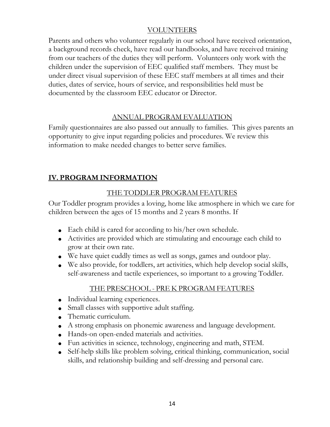## VOLUNTEERS

Parents and others who volunteer regularly in our school have received orientation, a background records check, have read our handbooks, and have received training from our teachers of the duties they will perform. Volunteers only work with the children under the supervision of EEC qualified staff members. They must be under direct visual supervision of these EEC staff members at all times and their duties, dates of service, hours of service, and responsibilities held must be documented by the classroom EEC educator or Director.

## ANNUAL PROGRAM EVALUATION

Family questionnaires are also passed out annually to families. This gives parents an opportunity to give input regarding policies and procedures. We review this information to make needed changes to better serve families.

# **IV. PROGRAM INFORMATION**

## THE TODDLER PROGRAM FEATURES

Our Toddler program provides a loving, home like atmosphere in which we care for children between the ages of 15 months and 2 years 8 months. If

- Each child is cared for according to his/her own schedule.
- Activities are provided which are stimulating and encourage each child to grow at their own rate.
- We have quiet cuddly times as well as songs, games and outdoor play.
- We also provide, for toddlers, art activities, which help develop social skills, self-awareness and tactile experiences, so important to a growing Toddler.

## THE PRESCHOOL - PRE K PROGRAM FEATURES

- Individual learning experiences.
- Small classes with supportive adult staffing.
- Thematic curriculum.
- A strong emphasis on phonemic awareness and language development.
- Hands-on open-ended materials and activities.
- Fun activities in science, technology, engineering and math, STEM.
- Self-help skills like problem solving, critical thinking, communication, social skills, and relationship building and self-dressing and personal care.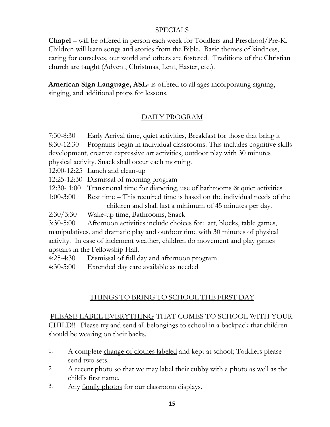#### SPECIALS

**Chapel** – will be offered in person each week for Toddlers and Preschool/Pre-K. Children will learn songs and stories from the Bible. Basic themes of kindness, caring for ourselves, our world and others are fostered. Traditions of the Christian church are taught (Advent, Christmas, Lent, Easter, etc.).

**American Sign Language, ASL-** is offered to all ages incorporating signing, singing, and additional props for lessons.

## DAILY PROGRAM

7:30-8:30 Early Arrival time, quiet activities, Breakfast for those that bring it 8:30-12:30 Programs begin in individual classrooms. This includes cognitive skills development, creative expressive art activities, outdoor play with 30 minutes physical activity. Snack shall occur each morning.

12:00-12:25 Lunch and clean-up

- 12:25-12:30 Dismissal of morning program
- 12:30- 1:00 Transitional time for diapering, use of bathrooms & quiet activities
- 1:00-3:00 Rest time This required time is based on the individual needs of the children and shall last a minimum of 45 minutes per day.
- 2:30/3:30 Wake-up time, Bathrooms, Snack

3:30-5:00 Afternoon activities include choices for: art, blocks, table games, manipulatives, and dramatic play and outdoor time with 30 minutes of physical activity. In case of inclement weather, children do movement and play games upstairs in the Fellowship Hall.

- 4:25-4:30 Dismissal of full day and afternoon program
- 4:30-5:00 Extended day care available as needed

## THINGS TO BRING TO SCHOOL THE FIRST DAY

PLEASE LABEL EVERYTHING THAT COMES TO SCHOOL WITH YOUR CHILD!!! Please try and send all belongings to school in a backpack that children should be wearing on their backs.

- 1. A complete change of clothes labeled and kept at school; Toddlers please send two sets.
- 2. A recent photo so that we may label their cubby with a photo as well as the child's first name.
- 3. Any family photos for our classroom displays.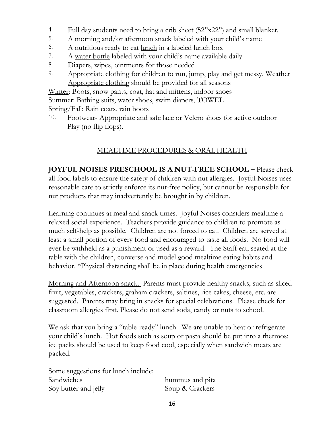- 4. Full day students need to bring a crib sheet (52"x22") and small blanket.
- 5. A morning and/or afternoon snack labeled with your child's name
- 6. A nutritious ready to eat lunch in a labeled lunch box
- 7. A water bottle labeled with your child's name available daily.
- 8. Diapers, wipes, ointments for those needed
- 9. Appropriate clothing for children to run, jump, play and get messy. Weather Appropriate clothing should be provided for all seasons

Winter: Boots, snow pants, coat, hat and mittens, indoor shoes Summer: Bathing suits, water shoes, swim diapers, TOWEL

Spring/Fall: Rain coats, rain boots

10. Footwear-Appropriate and safe lace or Velcro shoes for active outdoor Play (no flip flops).

## MEALTIME PROCEDURES & ORAL HEALTH

**JOYFUL NOISES PRESCHOOL IS A NUT-FREE SCHOOL –** Please check all food labels to ensure the safety of children with nut allergies. Joyful Noises uses reasonable care to strictly enforce its nut-free policy, but cannot be responsible for nut products that may inadvertently be brought in by children.

Learning continues at meal and snack times. Joyful Noises considers mealtime a relaxed social experience. Teachers provide guidance to children to promote as much self-help as possible. Children are not forced to eat. Children are served at least a small portion of every food and encouraged to taste all foods. No food will ever be withheld as a punishment or used as a reward. The Staff eat, seated at the table with the children, converse and model good mealtime eating habits and behavior. \*Physical distancing shall be in place during health emergencies

Morning and Afternoon snack. Parents must provide healthy snacks, such as sliced fruit, vegetables, crackers, graham crackers, saltines, rice cakes, cheese, etc. are suggested. Parents may bring in snacks for special celebrations. Please check for classroom allergies first. Please do not send soda, candy or nuts to school.

We ask that you bring a "table-ready" lunch. We are unable to heat or refrigerate your child's lunch. Hot foods such as soup or pasta should be put into a thermos; ice packs should be used to keep food cool, especially when sandwich meats are packed.

| Some suggestions for lunch include; |                 |
|-------------------------------------|-----------------|
| <b>Sandwiches</b>                   | hummus and pita |
| Soy butter and jelly                | Soup & Crackers |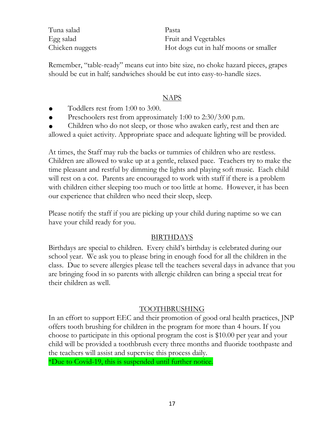Tuna salad Pasta Egg salad Fruit and Vegetables Chicken nuggets Hot dogs cut in half moons or smaller

Remember, "table-ready" means cut into bite size, no choke hazard pieces, grapes should be cut in half; sandwiches should be cut into easy-to-handle sizes.

#### NAPS

- Toddlers rest from 1:00 to 3:00.
- Preschoolers rest from approximately 1:00 to 2:30/3:00 p.m.

Children who do not sleep, or those who awaken early, rest and then are allowed a quiet activity. Appropriate space and adequate lighting will be provided.

At times, the Staff may rub the backs or tummies of children who are restless. Children are allowed to wake up at a gentle, relaxed pace. Teachers try to make the time pleasant and restful by dimming the lights and playing soft music. Each child will rest on a cot. Parents are encouraged to work with staff if there is a problem with children either sleeping too much or too little at home. However, it has been our experience that children who need their sleep, sleep.

Please notify the staff if you are picking up your child during naptime so we can have your child ready for you.

#### BIRTHDAYS

Birthdays are special to children. Every child's birthday is celebrated during our school year. We ask you to please bring in enough food for all the children in the class. Due to severe allergies please tell the teachers several days in advance that you are bringing food in so parents with allergic children can bring a special treat for their children as well.

#### TOOTHBRUSHING

In an effort to support EEC and their promotion of good oral health practices, JNP offers tooth brushing for children in the program for more than 4 hours. If you choose to participate in this optional program the cost is \$10.00 per year and your child will be provided a toothbrush every three months and fluoride toothpaste and the teachers will assist and supervise this process daily.

\*Due to Covid-19, this is suspended until further notice.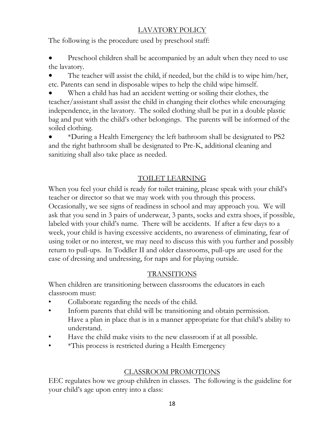# LAVATORY POLICY

The following is the procedure used by preschool staff:

Preschool children shall be accompanied by an adult when they need to use the lavatory.

The teacher will assist the child, if needed, but the child is to wipe him/her, etc. Parents can send in disposable wipes to help the child wipe himself.

When a child has had an accident wetting or soiling their clothes, the teacher/assistant shall assist the child in changing their clothes while encouraging independence, in the lavatory. The soiled clothing shall be put in a double plastic bag and put with the child's other belongings. The parents will be informed of the soiled clothing.

● \*During a Health Emergency the left bathroom shall be designated to PS2 and the right bathroom shall be designated to Pre-K, additional cleaning and sanitizing shall also take place as needed.

# TOILET LEARNING

When you feel your child is ready for toilet training, please speak with your child's teacher or director so that we may work with you through this process. Occasionally, we see signs of readiness in school and may approach you. We will ask that you send in 3 pairs of underwear, 3 pants, socks and extra shoes, if possible, labeled with your child's name. There will be accidents. If after a few days to a week, your child is having excessive accidents, no awareness of eliminating, fear of using toilet or no interest, we may need to discuss this with you further and possibly return to pull-ups. In Toddler II and older classrooms, pull-ups are used for the ease of dressing and undressing, for naps and for playing outside.

## TRANSITIONS

When children are transitioning between classrooms the educators in each classroom must:

- Collaborate regarding the needs of the child.
- Inform parents that child will be transitioning and obtain permission. Have a plan in place that is in a manner appropriate for that child's ability to understand.
- Have the child make visits to the new classroom if at all possible.
- • \*This process is restricted during a Health Emergency

## CLASSROOM PROMOTIONS

EEC regulates how we group children in classes. The following is the guideline for your child's age upon entry into a class: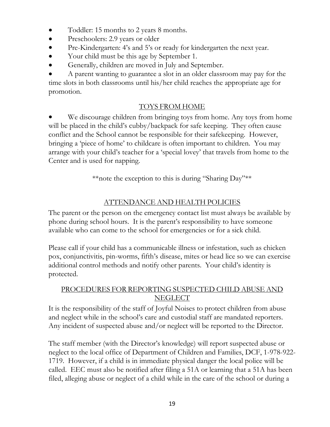- Toddler: 15 months to 2 years 8 months.
- Preschoolers: 2.9 years or older
- Pre-Kindergarten: 4's and 5's or ready for kindergarten the next year.
- Your child must be this age by September 1.
- Generally, children are moved in July and September.

A parent wanting to guarantee a slot in an older classroom may pay for the time slots in both classrooms until his/her child reaches the appropriate age for promotion.

## TOYS FROM HOME

We discourage children from bringing toys from home. Any toys from home will be placed in the child's cubby/backpack for safe keeping. They often cause conflict and the School cannot be responsible for their safekeeping. However, bringing a 'piece of home' to childcare is often important to children. You may arrange with your child's teacher for a 'special lovey' that travels from home to the Center and is used for napping.

\*\*note the exception to this is during "Sharing Day"\*\*

## ATTENDANCE AND HEALTH POLICIES

The parent or the person on the emergency contact list must always be available by phone during school hours. It is the parent's responsibility to have someone available who can come to the school for emergencies or for a sick child.

Please call if your child has a communicable illness or infestation, such as chicken pox, conjunctivitis, pin-worms, fifth's disease, mites or head lice so we can exercise additional control methods and notify other parents. Your child's identity is protected.

## PROCEDURES FOR REPORTING SUSPECTED CHILD ABUSE AND NEGLECT

It is the responsibility of the staff of Joyful Noises to protect children from abuse and neglect while in the school's care and custodial staff are mandated reporters. Any incident of suspected abuse and/or neglect will be reported to the Director.

The staff member (with the Director's knowledge) will report suspected abuse or neglect to the local office of Department of Children and Families, DCF, 1-978-922- 1719. However, if a child is in immediate physical danger the local police will be called. EEC must also be notified after filing a 51A or learning that a 51A has been filed, alleging abuse or neglect of a child while in the care of the school or during a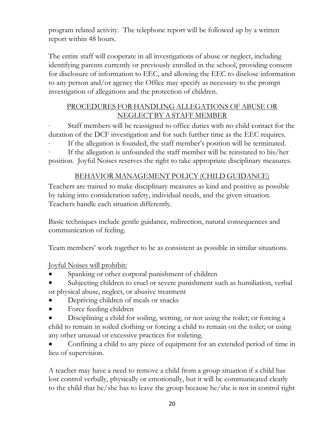program related activity. The telephone report will be followed up by a written report within 48 hours.

The entire staff will cooperate in all investigations of abuse or neglect, including identifying parents currently or previously enrolled in the school, providing consent for disclosure of information to EEC, and allowing the EEC to disclose information to any person and/or agency the Office may specify as necessary to the prompt investigation of allegations and the protection of children.

## PROCEDURES FOR HANDLING ALLEGATIONS OF ABUSE OR NEGLECT BY A STAFF MEMBER

Staff members will be reassigned to office duties with no child contact for the duration of the DCF investigation and for such further time as the EEC requires.

If the allegation is founded, the staff member's position will be terminated.

If the allegation is unfounded the staff member will be reinstated to his/her position. Joyful Noises reserves the right to take appropriate disciplinary measures.

## BEHAVIOR MANAGEMENT POLICY (CHILD GUIDANCE)

Teachers are trained to make disciplinary measures as kind and positive as possible by taking into consideration safety, individual needs, and the given situation. Teachers handle each situation differently.

Basic techniques include gentle guidance, redirection, natural consequences and communication of feeling.

Team members' work together to be as consistent as possible in similar situations.

Joyful Noises will prohibit:

- Spanking or other corporal punishment of children
- Subjecting children to cruel or severe punishment such as humiliation, verbal or physical abuse, neglect, or abusive treatment
- Depriving children of meals or snacks
- Force feeding children
- Disciplining a child for soiling, wetting, or not using the toilet; or forcing a child to remain in soiled clothing or forcing a child to remain on the toilet; or using any other unusual or excessive practices for toileting.

Confining a child to any piece of equipment for an extended period of time in lieu of supervision.

A teacher may have a need to remove a child from a group situation if a child has lost control verbally, physically or emotionally, but it will be communicated clearly to the child that he/she has to leave the group because he/she is not in control right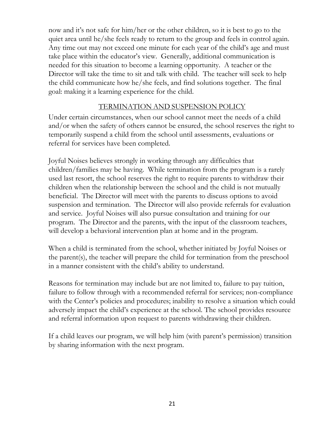now and it's not safe for him/her or the other children, so it is best to go to the quiet area until he/she feels ready to return to the group and feels in control again. Any time out may not exceed one minute for each year of the child's age and must take place within the educator's view. Generally, additional communication is needed for this situation to become a learning opportunity. A teacher or the Director will take the time to sit and talk with child. The teacher will seek to help the child communicate how he/she feels, and find solutions together. The final goal: making it a learning experience for the child.

## TERMINATION AND SUSPENSION POLICY

Under certain circumstances, when our school cannot meet the needs of a child and/or when the safety of others cannot be ensured, the school reserves the right to temporarily suspend a child from the school until assessments, evaluations or referral for services have been completed.

Joyful Noises believes strongly in working through any difficulties that children/families may be having. While termination from the program is a rarely used last resort, the school reserves the right to require parents to withdraw their children when the relationship between the school and the child is not mutually beneficial. The Director will meet with the parents to discuss options to avoid suspension and termination. The Director will also provide referrals for evaluation and service. Joyful Noises will also pursue consultation and training for our program. The Director and the parents, with the input of the classroom teachers, will develop a behavioral intervention plan at home and in the program.

When a child is terminated from the school, whether initiated by Joyful Noises or the parent(s), the teacher will prepare the child for termination from the preschool in a manner consistent with the child's ability to understand.

Reasons for termination may include but are not limited to, failure to pay tuition, failure to follow through with a recommended referral for services; non-compliance with the Center's policies and procedures; inability to resolve a situation which could adversely impact the child's experience at the school. The school provides resource and referral information upon request to parents withdrawing their children.

If a child leaves our program, we will help him (with parent's permission) transition by sharing information with the next program.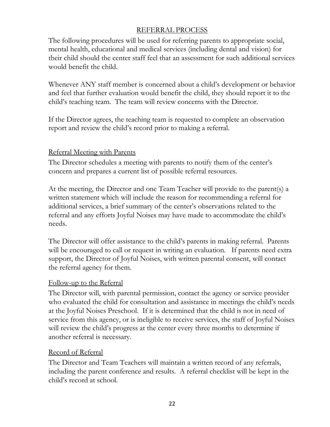## REFERRAL PROCESS

The following procedures will be used for referring parents to appropriate social, mental health, educational and medical services (including dental and vision) for their child should the center staff feel that an assessment for such additional services would benefit the child.

Whenever ANY staff member is concerned about a child's development or behavior and feel that further evaluation would benefit the child, they should report it to the child's teaching team. The team will review concerns with the Director.

If the Director agrees, the teaching team is requested to complete an observation report and review the child's record prior to making a referral.

## Referral Meeting with Parents

The Director schedules a meeting with parents to notify them of the center's concern and prepares a current list of possible referral resources.

At the meeting, the Director and one Team Teacher will provide to the parent(s) a written statement which will include the reason for recommending a referral for additional services, a brief summary of the center's observations related to the referral and any efforts Joyful Noises may have made to accommodate the child's needs.

The Director will offer assistance to the child's parents in making referral. Parents will be encouraged to call or request in writing an evaluation. If parents need extra support, the Director of Joyful Noises, with written parental consent, will contact the referral agency for them.

## Follow-up to the Referral

The Director will, with parental permission, contact the agency or service provider who evaluated the child for consultation and assistance in meetings the child's needs at the Joyful Noises Preschool. If it is determined that the child is not in need of service from this agency, or is ineligible to receive services, the staff of Joyful Noises will review the child's progress at the center every three months to determine if another referral is necessary.

## Record of Referral

The Director and Team Teachers will maintain a written record of any referrals, including the parent conference and results. A referral checklist will be kept in the child's record at school.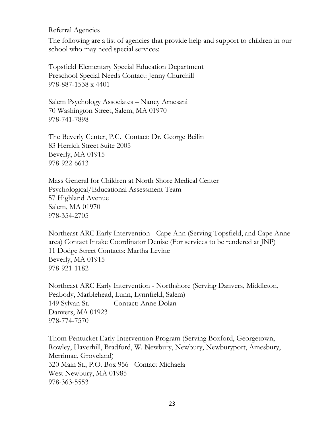#### Referral Agencies

The following are a list of agencies that provide help and support to children in our school who may need special services:

Topsfield Elementary Special Education Department Preschool Special Needs Contact: Jenny Churchill 978-887-1538 x 4401

Salem Psychology Associates – Nancy Arnesani 70 Washington Street, Salem, MA 01970 978-741-7898

The Beverly Center, P.C. Contact: Dr. George Beilin 83 Herrick Street Suite 2005 Beverly, MA 01915 978-922-6613

Mass General for Children at North Shore Medical Center Psychological/Educational Assessment Team 57 Highland Avenue Salem, MA 01970 978-354-2705

Northeast ARC Early Intervention - Cape Ann (Serving Topsfield, and Cape Anne area) Contact Intake Coordinator Denise (For services to be rendered at JNP) 11 Dodge Street Contacts: Martha Levine Beverly, MA 01915 978-921-1182

Northeast ARC Early Intervention - Northshore (Serving Danvers, Middleton, Peabody, Marblehead, Lunn, Lynnfield, Salem) 149 Sylvan St. Contact: Anne Dolan Danvers, MA 01923 978-774-7570

Thom Pentucket Early Intervention Program (Serving Boxford, Georgetown, Rowley, Haverhill, Bradford, W. Newbury, Newbury, Newburyport, Amesbury, Merrimac, Groveland) 320 Main St., P.O. Box 956 Contact Michaela West Newbury, MA 01985 978-363-5553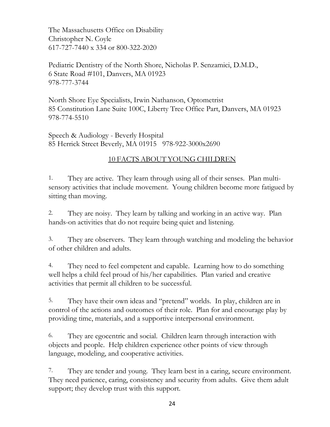The Massachusetts Office on Disability Christopher N. Coyle 617-727-7440 x 334 or 800-322-2020

Pediatric Dentistry of the North Shore, Nicholas P. Senzamici, D.M.D., 6 State Road #101, Danvers, MA 01923 978-777-3744

North Shore Eye Specialists, Irwin Nathanson, Optometrist 85 Constitution Lane Suite 100C, Liberty Tree Office Part, Danvers, MA 01923 978-774-5510

Speech & Audiology - Beverly Hospital 85 Herrick Street Beverly, MA 01915 978-922-3000x2690

## 10 FACTS ABOUT YOUNG CHILDREN

1. They are active. They learn through using all of their senses. Plan multisensory activities that include movement. Young children become more fatigued by sitting than moving.

2. They are noisy. They learn by talking and working in an active way. Plan hands-on activities that do not require being quiet and listening.

3. They are observers. They learn through watching and modeling the behavior of other children and adults.

4. They need to feel competent and capable. Learning how to do something well helps a child feel proud of his/her capabilities. Plan varied and creative activities that permit all children to be successful.

5. They have their own ideas and "pretend" worlds. In play, children are in control of the actions and outcomes of their role. Plan for and encourage play by providing time, materials, and a supportive interpersonal environment.

6. They are egocentric and social. Children learn through interaction with objects and people. Help children experience other points of view through language, modeling, and cooperative activities.

7. They are tender and young. They learn best in a caring, secure environment. They need patience, caring, consistency and security from adults. Give them adult support; they develop trust with this support.